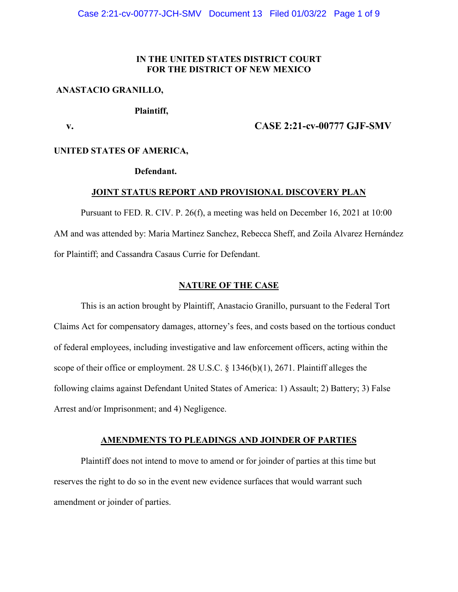## **IN THE UNITED STATES DISTRICT COURT FOR THE DISTRICT OF NEW MEXICO**

#### **ANASTACIO GRANILLO,**

## **Plaintiff,**

### **v. CASE 2:21-cv-00777 GJF-SMV**

#### **UNITED STATES OF AMERICA,**

### **Defendant.**

#### **JOINT STATUS REPORT AND PROVISIONAL DISCOVERY PLAN**

Pursuant to FED. R. CIV. P. 26(f), a meeting was held on December 16, 2021 at 10:00 AM and was attended by: Maria Martinez Sanchez, Rebecca Sheff, and Zoila Alvarez Hernández for Plaintiff; and Cassandra Casaus Currie for Defendant.

### **NATURE OF THE CASE**

This is an action brought by Plaintiff, Anastacio Granillo, pursuant to the Federal Tort Claims Act for compensatory damages, attorney's fees, and costs based on the tortious conduct of federal employees, including investigative and law enforcement officers, acting within the scope of their office or employment. 28 U.S.C. § 1346(b)(1), 2671. Plaintiff alleges the following claims against Defendant United States of America: 1) Assault; 2) Battery; 3) False Arrest and/or Imprisonment; and 4) Negligence.

### **AMENDMENTS TO PLEADINGS AND JOINDER OF PARTIES**

Plaintiff does not intend to move to amend or for joinder of parties at this time but reserves the right to do so in the event new evidence surfaces that would warrant such amendment or joinder of parties.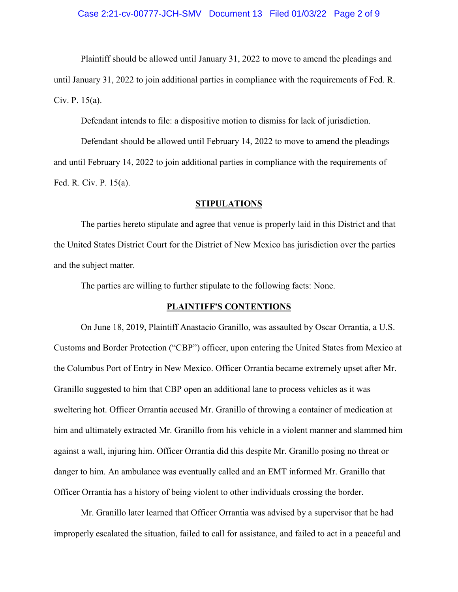#### Case 2:21-cv-00777-JCH-SMV Document 13 Filed 01/03/22 Page 2 of 9

Plaintiff should be allowed until January 31, 2022 to move to amend the pleadings and until January 31, 2022 to join additional parties in compliance with the requirements of Fed. R. Civ. P. 15(a).

Defendant intends to file: a dispositive motion to dismiss for lack of jurisdiction.

Defendant should be allowed until February 14, 2022 to move to amend the pleadings and until February 14, 2022 to join additional parties in compliance with the requirements of Fed. R. Civ. P. 15(a).

### **STIPULATIONS**

The parties hereto stipulate and agree that venue is properly laid in this District and that the United States District Court for the District of New Mexico has jurisdiction over the parties and the subject matter.

The parties are willing to further stipulate to the following facts: None.

#### **PLAINTIFF'S CONTENTIONS**

On June 18, 2019, Plaintiff Anastacio Granillo, was assaulted by Oscar Orrantia, a U.S. Customs and Border Protection ("CBP") officer, upon entering the United States from Mexico at the Columbus Port of Entry in New Mexico. Officer Orrantia became extremely upset after Mr. Granillo suggested to him that CBP open an additional lane to process vehicles as it was sweltering hot. Officer Orrantia accused Mr. Granillo of throwing a container of medication at him and ultimately extracted Mr. Granillo from his vehicle in a violent manner and slammed him against a wall, injuring him. Officer Orrantia did this despite Mr. Granillo posing no threat or danger to him. An ambulance was eventually called and an EMT informed Mr. Granillo that Officer Orrantia has a history of being violent to other individuals crossing the border.

Mr. Granillo later learned that Officer Orrantia was advised by a supervisor that he had improperly escalated the situation, failed to call for assistance, and failed to act in a peaceful and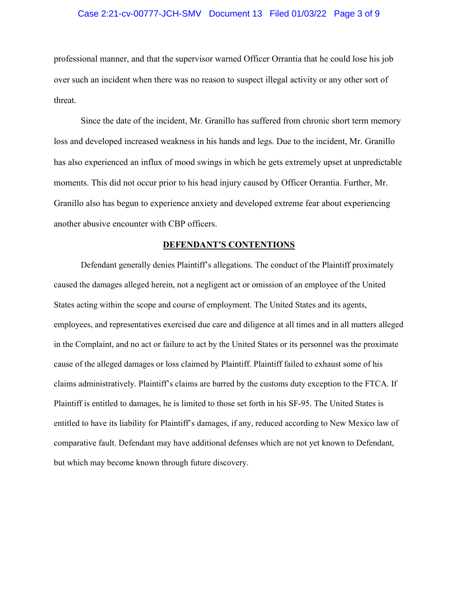#### Case 2:21-cv-00777-JCH-SMV Document 13 Filed 01/03/22 Page 3 of 9

professional manner, and that the supervisor warned Officer Orrantia that he could lose his job over such an incident when there was no reason to suspect illegal activity or any other sort of threat.

Since the date of the incident, Mr. Granillo has suffered from chronic short term memory loss and developed increased weakness in his hands and legs. Due to the incident, Mr. Granillo has also experienced an influx of mood swings in which he gets extremely upset at unpredictable moments. This did not occur prior to his head injury caused by Officer Orrantia. Further, Mr. Granillo also has begun to experience anxiety and developed extreme fear about experiencing another abusive encounter with CBP officers.

#### **DEFENDANT'S CONTENTIONS**

Defendant generally denies Plaintiff's allegations. The conduct of the Plaintiff proximately caused the damages alleged herein, not a negligent act or omission of an employee of the United States acting within the scope and course of employment. The United States and its agents, employees, and representatives exercised due care and diligence at all times and in all matters alleged in the Complaint, and no act or failure to act by the United States or its personnel was the proximate cause of the alleged damages or loss claimed by Plaintiff. Plaintiff failed to exhaust some of his claims administratively. Plaintiff's claims are barred by the customs duty exception to the FTCA. If Plaintiff is entitled to damages, he is limited to those set forth in his SF-95. The United States is entitled to have its liability for Plaintiff's damages, if any, reduced according to New Mexico law of comparative fault. Defendant may have additional defenses which are not yet known to Defendant, but which may become known through future discovery.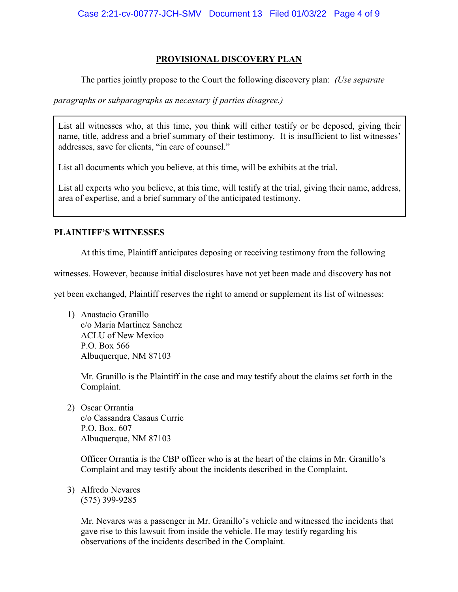## **PROVISIONAL DISCOVERY PLAN**

The parties jointly propose to the Court the following discovery plan: *(Use separate* 

*paragraphs or subparagraphs as necessary if parties disagree.)*

List all witnesses who, at this time, you think will either testify or be deposed, giving their name, title, address and a brief summary of their testimony. It is insufficient to list witnesses' addresses, save for clients, "in care of counsel."

List all documents which you believe, at this time, will be exhibits at the trial.

List all experts who you believe, at this time, will testify at the trial, giving their name, address, area of expertise, and a brief summary of the anticipated testimony.

# **PLAINTIFF'S WITNESSES**

At this time, Plaintiff anticipates deposing or receiving testimony from the following

witnesses. However, because initial disclosures have not yet been made and discovery has not

yet been exchanged, Plaintiff reserves the right to amend or supplement its list of witnesses:

1) Anastacio Granillo c/o Maria Martinez Sanchez ACLU of New Mexico P.O. Box 566 Albuquerque, NM 87103

> Mr. Granillo is the Plaintiff in the case and may testify about the claims set forth in the Complaint.

2) Oscar Orrantia c/o Cassandra Casaus Currie P.O. Box. 607 Albuquerque, NM 87103

> Officer Orrantia is the CBP officer who is at the heart of the claims in Mr. Granillo's Complaint and may testify about the incidents described in the Complaint.

3) Alfredo Nevares (575) 399-9285

> Mr. Nevares was a passenger in Mr. Granillo's vehicle and witnessed the incidents that gave rise to this lawsuit from inside the vehicle. He may testify regarding his observations of the incidents described in the Complaint.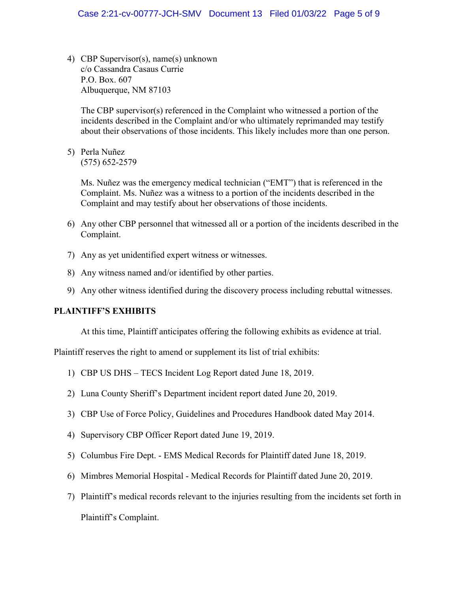4) CBP Supervisor(s), name(s) unknown c/o Cassandra Casaus Currie P.O. Box. 607 Albuquerque, NM 87103

The CBP supervisor(s) referenced in the Complaint who witnessed a portion of the incidents described in the Complaint and/or who ultimately reprimanded may testify about their observations of those incidents. This likely includes more than one person.

5) Perla Nuñez (575) 652-2579

> Ms. Nuñez was the emergency medical technician ("EMT") that is referenced in the Complaint. Ms. Nuñez was a witness to a portion of the incidents described in the Complaint and may testify about her observations of those incidents.

- 6) Any other CBP personnel that witnessed all or a portion of the incidents described in the Complaint.
- 7) Any as yet unidentified expert witness or witnesses.
- 8) Any witness named and/or identified by other parties.
- 9) Any other witness identified during the discovery process including rebuttal witnesses.

## **PLAINTIFF'S EXHIBITS**

At this time, Plaintiff anticipates offering the following exhibits as evidence at trial.

Plaintiff reserves the right to amend or supplement its list of trial exhibits:

- 1) CBP US DHS TECS Incident Log Report dated June 18, 2019.
- 2) Luna County Sheriff's Department incident report dated June 20, 2019.
- 3) CBP Use of Force Policy, Guidelines and Procedures Handbook dated May 2014.
- 4) Supervisory CBP Officer Report dated June 19, 2019.
- 5) Columbus Fire Dept. EMS Medical Records for Plaintiff dated June 18, 2019.
- 6) Mimbres Memorial Hospital Medical Records for Plaintiff dated June 20, 2019.
- 7) Plaintiff's medical records relevant to the injuries resulting from the incidents set forth in Plaintiff's Complaint.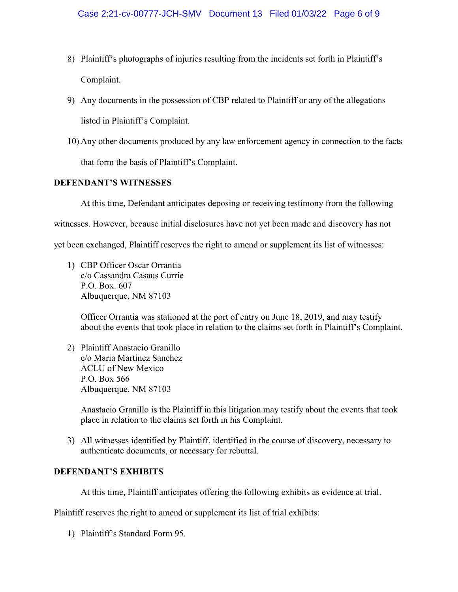- 8) Plaintiff's photographs of injuries resulting from the incidents set forth in Plaintiff's Complaint.
- 9) Any documents in the possession of CBP related to Plaintiff or any of the allegations listed in Plaintiff's Complaint.
- 10) Any other documents produced by any law enforcement agency in connection to the facts that form the basis of Plaintiff's Complaint.

# **DEFENDANT'S WITNESSES**

At this time, Defendant anticipates deposing or receiving testimony from the following

witnesses. However, because initial disclosures have not yet been made and discovery has not

yet been exchanged, Plaintiff reserves the right to amend or supplement its list of witnesses:

1) CBP Officer Oscar Orrantia c/o Cassandra Casaus Currie P.O. Box. 607 Albuquerque, NM 87103

> Officer Orrantia was stationed at the port of entry on June 18, 2019, and may testify about the events that took place in relation to the claims set forth in Plaintiff's Complaint.

2) Plaintiff Anastacio Granillo c/o Maria Martinez Sanchez ACLU of New Mexico P.O. Box 566 Albuquerque, NM 87103

> Anastacio Granillo is the Plaintiff in this litigation may testify about the events that took place in relation to the claims set forth in his Complaint.

3) All witnesses identified by Plaintiff, identified in the course of discovery, necessary to authenticate documents, or necessary for rebuttal.

## **DEFENDANT'S EXHIBITS**

At this time, Plaintiff anticipates offering the following exhibits as evidence at trial.

Plaintiff reserves the right to amend or supplement its list of trial exhibits:

1) Plaintiff's Standard Form 95.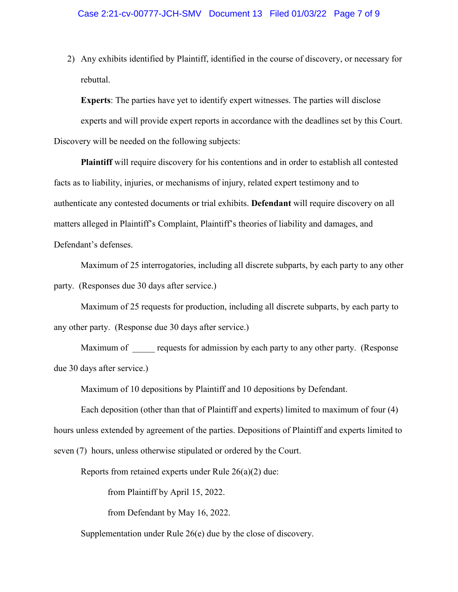2) Any exhibits identified by Plaintiff, identified in the course of discovery, or necessary for rebuttal.

**Experts**: The parties have yet to identify expert witnesses. The parties will disclose

experts and will provide expert reports in accordance with the deadlines set by this Court. Discovery will be needed on the following subjects:

**Plaintiff** will require discovery for his contentions and in order to establish all contested facts as to liability, injuries, or mechanisms of injury, related expert testimony and to authenticate any contested documents or trial exhibits. **Defendant** will require discovery on all matters alleged in Plaintiff's Complaint, Plaintiff's theories of liability and damages, and Defendant's defenses.

Maximum of 25 interrogatories, including all discrete subparts, by each party to any other party. (Responses due 30 days after service.)

Maximum of 25 requests for production, including all discrete subparts, by each party to any other party. (Response due 30 days after service.)

Maximum of requests for admission by each party to any other party. (Response due 30 days after service.)

Maximum of 10 depositions by Plaintiff and 10 depositions by Defendant.

Each deposition (other than that of Plaintiff and experts) limited to maximum of four (4) hours unless extended by agreement of the parties. Depositions of Plaintiff and experts limited to seven (7) hours, unless otherwise stipulated or ordered by the Court.

Reports from retained experts under Rule 26(a)(2) due:

from Plaintiff by April 15, 2022.

from Defendant by May 16, 2022.

Supplementation under Rule 26(e) due by the close of discovery.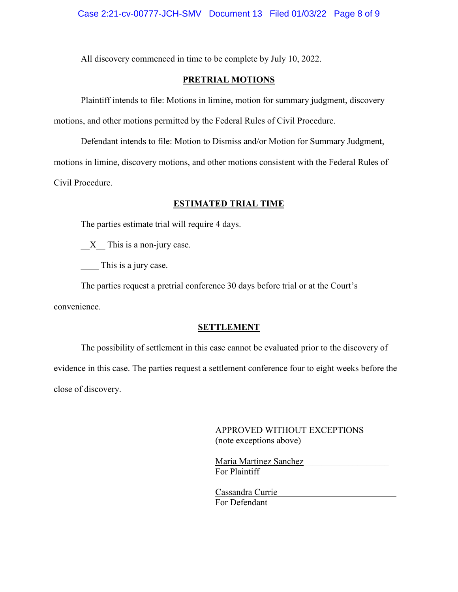All discovery commenced in time to be complete by July 10, 2022.

# **PRETRIAL MOTIONS**

Plaintiff intends to file: Motions in limine, motion for summary judgment, discovery motions, and other motions permitted by the Federal Rules of Civil Procedure.

Defendant intends to file: Motion to Dismiss and/or Motion for Summary Judgment, motions in limine, discovery motions, and other motions consistent with the Federal Rules of Civil Procedure.

## **ESTIMATED TRIAL TIME**

The parties estimate trial will require 4 days.

X This is a non-jury case.

This is a jury case.

The parties request a pretrial conference 30 days before trial or at the Court's convenience.

#### **SETTLEMENT**

The possibility of settlement in this case cannot be evaluated prior to the discovery of evidence in this case. The parties request a settlement conference four to eight weeks before the close of discovery.

> APPROVED WITHOUT EXCEPTIONS (note exceptions above)

Maria Martinez Sanchez For Plaintiff

Cassandra Currie For Defendant